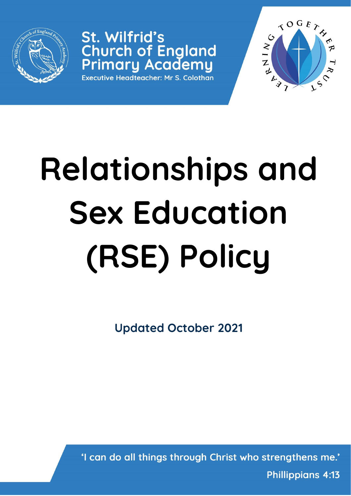

St. Wilfrid's **Church of England<br>Primary Academy** Executive Headteacher: Mr S. Colothan



# **Relationships and Sex Education (RSE) Policy**

**Updated October 2021**

'I can do all things through Christ who strengthens me.'

**Phillippians 4:13**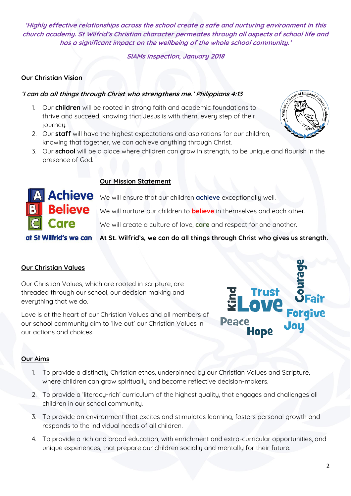**'Highly effective relationships across the school create a safe and nurturing environment in this church academy. St Wilfrid's Christian character permeates through all aspects of school life and has a significant impact on the wellbeing of the whole school community.'** 

**SIAMs Inspection, January 2018**

## **Our Christian Vision**

#### **'I can do all things through Christ who strengthens me.' Philippians 4:13**

- 1. Our **children** will be rooted in strong faith and academic foundations to thrive and succeed, knowing that Jesus is with them, every step of their journey.
- 2. Our **staff** will have the highest expectations and aspirations for our children, knowing that together, we can achieve anything through Christ.
- 3. Our **school** will be a place where children can grow in strength, to be unique and flourish in the presence of God.

#### **Our Mission Statement**

Achieve We will ensure that our children achieve exceptionally well.

We will nurture our children to **believe** in themselves and each other.

We will create a culture of love, **care** and respect for one another.

**At St. Wilfrid's, we can do all things through Christ who gives us strength.** 

# **Our Christian Values**

Our Christian Values, which are rooted in scripture, are threaded through our school, our decision making and everything that we do.

Love is at the heart of our Christian Values and all members of our school community aim to 'live out' our Christian Values in our actions and choices.

#### **Our Aims**

- 1. To provide a distinctly Christian ethos, underpinned by our Christian Values and Scripture, where children can grow spiritually and become reflective decision-makers.
- 2. To provide a 'literacy-rich' curriculum of the highest quality, that engages and challenges all children in our school community.
- 3. To provide an environment that excites and stimulates learning, fosters personal growth and responds to the individual needs of all children.
- 4. To provide a rich and broad education, with enrichment and extra-curricular opportunities, and unique experiences, that prepare our children socially and mentally for their future.





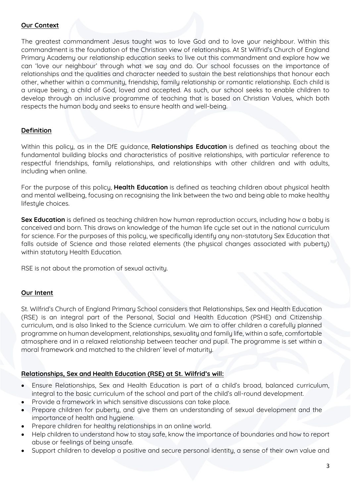#### **Our Context**

The greatest commandment Jesus taught was to love God and to love your neighbour. Within this commandment is the foundation of the Christian view of relationships. At St Wilfrid's Church of England Primary Academy our relationship education seeks to live out this commandment and explore how we can 'love our neighbour' through what we say and do. Our school focusses on the importance of relationships and the qualities and character needed to sustain the best relationships that honour each other, whether within a community, friendship, family relationship or romantic relationship. Each child is a unique being, a child of God, loved and accepted. As such, our school seeks to enable children to develop through an inclusive programme of teaching that is based on Christian Values, which both respects the human body and seeks to ensure health and well-being.

#### **Definition**

Within this policy, as in the DfE guidance, **Relationships Education** is defined as teaching about the fundamental building blocks and characteristics of positive relationships, with particular reference to respectful friendships, family relationships, and relationships with other children and with adults, including when online.

For the purpose of this policy, **Health Education** is defined as teaching children about physical health and mental wellbeing, focusing on recognising the link between the two and being able to make healthy lifestyle choices.

**Sex Education** is defined as teaching children how human reproduction occurs, including how a baby is conceived and born. This draws on knowledge of the human life cycle set out in the national curriculum for science. For the purposes of this policy, we specifically identify any non-statutory Sex Education that falls outside of Science and those related elements (the physical changes associated with puberty) within statutory Health Education.

RSE is not about the promotion of sexual activity.

#### **Our Intent**

St. Wilfrid's Church of England Primary School considers that Relationships, Sex and Health Education (RSE) is an integral part of the Personal, Social and Health Education (PSHE) and Citizenship curriculum, and is also linked to the Science curriculum. We aim to offer children a carefully planned programme on human development, relationships, sexuality and family life, within a safe, comfortable atmosphere and in a relaxed relationship between teacher and pupil. The programme is set within a moral framework and matched to the children' level of maturity.

#### **Relationships, Sex and Health Education (RSE) at St. Wilfrid's will:**

- Ensure Relationships, Sex and Health Education is part of a child's broad, balanced curriculum, integral to the basic curriculum of the school and part of the child's all-round development.
- Provide a framework in which sensitive discussions can take place.
- Prepare children for puberty, and give them an understanding of sexual development and the importance of health and hygiene.
- Prepare children for healthy relationships in an online world.
- Help children to understand how to stay safe, know the importance of boundaries and how to report abuse or feelings of being unsafe.
- Support children to develop a positive and secure personal identity, a sense of their own value and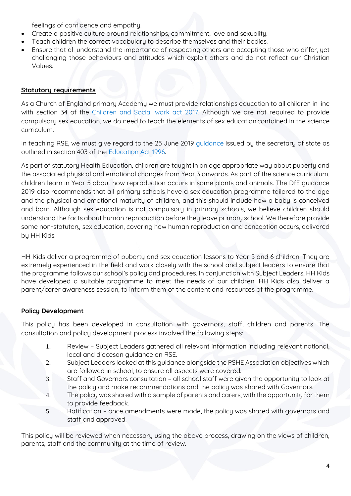feelings of confidence and empathy.

- Create a positive culture around relationships, commitment, love and sexuality.
- Teach children the correct vocabulary to describe themselves and their bodies.
- Ensure that all understand the importance of respecting others and accepting those who differ, yet challenging those behaviours and attitudes which exploit others and do not reflect our Christian Values.

#### **Statutory requirements**

As a Church of England primary Academy we must provide relationships education to all children in line with section 34 of the Children [and Social](http://www.legislation.gov.uk/ukpga/2017/16/section/34/enacted) work act 2017. Although we are not required to provide compulsory sex education, we do need to teach the elements of sex education contained in the science curriculum.

In teaching RSE, we must give regard to the 25 June 2019 [guidance](https://www.gov.uk/government/consultations/relationships-and-sex-education-and-health-education) issued by the secretary of state as outlined in section 403 of the [Education Act](http://www.legislation.gov.uk/ukpga/1996/56/contents) 1996.

As part of statutory Health Education, children are taught in an age appropriate way about puberty and the associated physical and emotional changes from Year 3 onwards. As part of the science curriculum, children learn in Year 5 about how reproduction occurs in some plants and animals. The DfE guidance 2019 also recommends that all primary schools have a sex education programme tailored to the age and the physical and emotional maturity of children, and this should include how a baby is conceived and born. Although sex education is not compulsory in primary schools, we believe children should understand the facts about human reproduction before they leave primary school. We therefore provide some non-statutory sex education, covering how human reproduction and conception occurs, delivered by HH Kids.

HH Kids deliver a programme of puberty and sex education lessons to Year 5 and 6 children. They are extremely experienced in the field and work closely with the school and subject leaders to ensure that the programme follows our school's policy and procedures. In conjunction with Subject Leaders, HH Kids have developed a suitable programme to meet the needs of our children. HH Kids also deliver a parent/carer awareness session, to inform them of the content and resources of the programme.

# **Policy Development**

This policy has been developed in consultation with governors, staff, children and parents. The consultation and policy development process involved the following steps:

- 1. Review Subject Leaders gathered all relevant information including relevant national, local and diocesan guidance on RSE.
- 2. Subject Leaders looked at this guidance alongside the PSHE Association objectives which are followed in school, to ensure all aspects were covered.
- 3. Staff and Governors consultation all school staff were given the opportunity to look at the policy and make recommendations and the policy was shared with Governors.
- 4. The policy was shared with a sample of parents and carers, with the opportunity for them to provide feedback.
- 5. Ratification once amendments were made, the policy was shared with governors and staff and approved.

This policy will be reviewed when necessary using the above process, drawing on the views of children, parents, staff and the community at the time of review.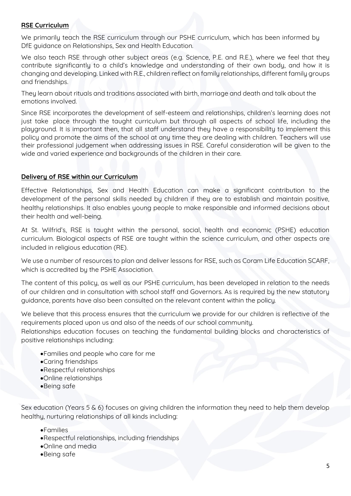#### **RSE Curriculum**

We primarily teach the RSE curriculum through our PSHE curriculum, which has been informed by DfE guidance on Relationships, Sex and Health Education.

We also teach RSE through other subject areas (e.g. Science, P.E. and R.E.), where we feel that they contribute significantly to a child's knowledge and understanding of their own body, and how it is changing and developing. Linked with R.E., children reflect on family relationships, different family groups and friendships.

They learn about rituals and traditions associated with birth, marriage and death and talk about the emotions involved.

Since RSE incorporates the development of self-esteem and relationships, children's learning does not just take place through the taught curriculum but through all aspects of school life, including the playground. It is important then, that all staff understand they have a responsibility to implement this policy and promote the aims of the school at any time they are dealing with children. Teachers will use their professional judgement when addressing issues in RSE. Careful consideration will be given to the wide and varied experience and backgrounds of the children in their care.

#### **Delivery of RSE within our Curriculum**

Effective Relationships, Sex and Health Education can make a significant contribution to the development of the personal skills needed by children if they are to establish and maintain positive, healthy relationships. It also enables young people to make responsible and informed decisions about their health and well-being.

At St. Wilfrid's, RSE is taught within the personal, social, health and economic (PSHE) education curriculum. Biological aspects of RSE are taught within the science curriculum, and other aspects are included in religious education (RE).

We use a number of resources to plan and deliver lessons for RSE, such as Coram Life Education SCARF, which is accredited by the PSHE Association.

The content of this policy, as well as our PSHE curriculum, has been developed in relation to the needs of our children and in consultation with school staff and Governors. As is required by the new statutory guidance, parents have also been consulted on the relevant content within the policy.

We believe that this process ensures that the curriculum we provide for our children is reflective of the requirements placed upon us and also of the needs of our school community. Relationships education focuses on teaching the fundamental building blocks and characteristics of positive relationships including:

- •Families and people who care for me
- •Caring friendships
- •Respectful relationships
- •Online relationships
- •Being safe

Sex education (Years 5 & 6) focuses on giving children the information they need to help them develop healthy, nurturing relationships of all kinds including:

- •Families
- •Respectful relationships, including friendships
- •Online and media
- •Being safe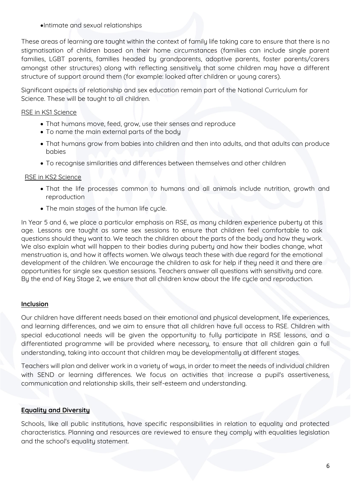#### •Intimate and sexual relationships

These areas of learning are taught within the context of family life taking care to ensure that there is no stigmatisation of children based on their home circumstances (families can include single parent families, LGBT parents, families headed by grandparents, adoptive parents, foster parents/carers amongst other structures) along with reflecting sensitively that some children may have a different structure of support around them (for example: looked after children or young carers).

Significant aspects of relationship and sex education remain part of the National Curriculum for Science. These will be taught to all children.

## RSE in KS1 Science

- That humans move, feed, grow, use their senses and reproduce
- To name the main external parts of the body
- That humans grow from babies into children and then into adults, and that adults can produce babies
- To recognise similarities and differences between themselves and other children

#### RSE in KS2 Science

- That the life processes common to humans and all animals include nutrition, growth and reproduction
- The main stages of the human life cycle.

In Year 5 and 6, we place a particular emphasis on RSE, as many children experience puberty at this age. Lessons are taught as same sex sessions to ensure that children feel comfortable to ask questions should they want to. We teach the children about the parts of the body and how they work. We also explain what will happen to their bodies during puberty and how their bodies change, what menstruation is, and how it affects women. We always teach these with due regard for the emotional development of the children. We encourage the children to ask for help if they need it and there are opportunities for single sex question sessions. Teachers answer all questions with sensitivity and care. By the end of Key Stage 2, we ensure that all children know about the life cycle and reproduction.

# **Inclusion**

Our children have different needs based on their emotional and physical development, life experiences, and learning differences, and we aim to ensure that all children have full access to RSE. Children with special educational needs will be given the opportunity to fully participate in RSE lessons, and a differentiated programme will be provided where necessary, to ensure that all children gain a full understanding, taking into account that children may be developmentally at different stages.

Teachers will plan and deliver work in a variety of ways, in order to meet the needs of individual children with SEND or learning differences. We focus on activities that increase a pupil's assertiveness, communication and relationship skills, their self-esteem and understanding.

# **Equality and Diversity**

Schools, like all public institutions, have specific responsibilities in relation to equality and protected characteristics. Planning and resources are reviewed to ensure they comply with equalities legislation and the school's equality statement.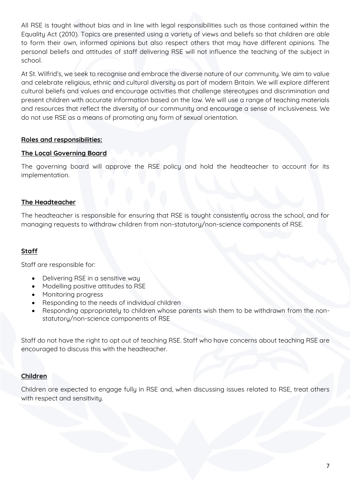All RSE is taught without bias and in line with legal responsibilities such as those contained within the Equality Act (2010). Topics are presented using a variety of views and beliefs so that children are able to form their own, informed opinions but also respect others that may have different opinions. The personal beliefs and attitudes of staff delivering RSE will not influence the teaching of the subject in school.

At St. Wilfrid's, we seek to recognise and embrace the diverse nature of our community. We aim to value and celebrate religious, ethnic and cultural diversity as part of modern Britain. We will explore different cultural beliefs and values and encourage activities that challenge stereotypes and discrimination and present children with accurate information based on the law. We will use a range of teaching materials and resources that reflect the diversity of our community and encourage a sense of inclusiveness. We do not use RSE as a means of promoting any form of sexual orientation.

# **Roles and responsibilities:**

#### **The Local Governing Board**

The governing board will approve the RSE policy and hold the headteacher to account for its implementation.

#### **The Headteacher**

The headteacher is responsible for ensuring that RSE is taught consistently across the school, and for managing requests to withdraw children from non-statutory/non-science components of RSE.

# **Staff**

Staff are responsible for:

- Delivering RSE in a sensitive way
- Modelling positive attitudes to RSE
- Monitoring progress
- Responding to the needs of individual children
- Responding appropriately to children whose parents wish them to be withdrawn from the nonstatutory/non-science components of RSE

Staff do not have the right to opt out of teaching RSE. Staff who have concerns about teaching RSE are encouraged to discuss this with the headteacher.

# **Children**

Children are expected to engage fully in RSE and, when discussing issues related to RSE, treat others with respect and sensitivity.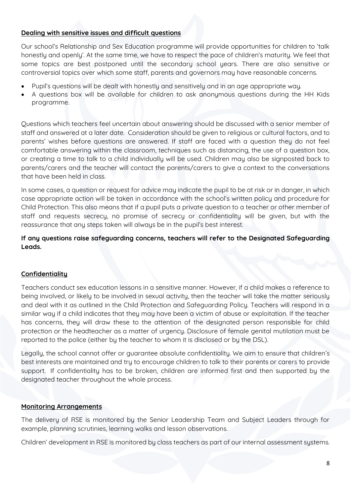# **Dealing with sensitive issues and difficult questions**

Our school's Relationship and Sex Education programme will provide opportunities for children to 'talk honestly and openly'. At the same time, we have to respect the pace of children's maturity. We feel that some topics are best postponed until the secondary school years. There are also sensitive or controversial topics over which some staff, parents and governors may have reasonable concerns.

- Pupil's questions will be dealt with honestly and sensitively and in an age appropriate way.
- A questions box will be available for children to ask anonymous questions during the HH Kids programme.

Questions which teachers feel uncertain about answering should be discussed with a senior member of staff and answered at a later date. Consideration should be given to religious or cultural factors, and to parents' wishes before questions are answered. If staff are faced with a question they do not feel comfortable answering within the classroom, techniques such as distancing, the use of a question box, or creating a time to talk to a child individually will be used. Children may also be signposted back to parents/carers and the teacher will contact the parents/carers to give a context to the conversations that have been held in class.

In some cases, a question or request for advice may indicate the pupil to be at risk or in danger, in which case appropriate action will be taken in accordance with the school's written policy and procedure for Child Protection. This also means that if a pupil puts a private question to a teacher or other member of staff and requests secrecy, no promise of secrecy or confidentiality will be given, but with the reassurance that any steps taken will always be in the pupil's best interest.

# **If any questions raise safeguarding concerns, teachers will refer to the Designated Safeguarding Leads.**

# **Confidentiality**

Teachers conduct sex education lessons in a sensitive manner. However, if a child makes a reference to being involved, or likely to be involved in sexual activity, then the teacher will take the matter seriously and deal with it as outlined in the Child Protection and Safeguarding Policy. Teachers will respond in a similar way if a child indicates that they may have been a victim of abuse or exploitation. If the teacher has concerns, they will draw these to the attention of the designated person responsible for child protection or the headteacher as a matter of urgency. Disclosure of female genital mutilation must be reported to the police (either by the teacher to whom it is disclosed or by the DSL).

Legally, the school cannot offer or guarantee absolute confidentiality. We aim to ensure that children's best interests are maintained and try to encourage children to talk to their parents or carers to provide support. If confidentiality has to be broken, children are informed first and then supported by the designated teacher throughout the whole process.

# **Monitoring Arrangements**

The delivery of RSE is monitored by the Senior Leadership Team and Subject Leaders through for example, planning scrutinies, learning walks and lesson observations.

Children' development in RSE is monitored by class teachers as part of our internal assessment sustems.